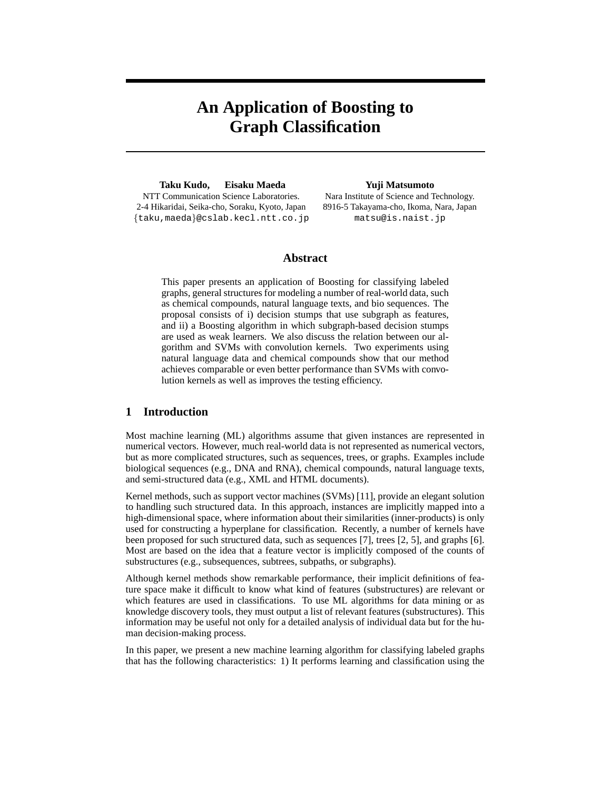# **An Application of Boosting to Graph Classification**

**Taku Kudo, Eisaku Maeda** NTT Communication Science Laboratories. 2-4 Hikaridai, Seika-cho, Soraku, Kyoto, Japan {taku,maeda}@cslab.kecl.ntt.co.jp **Yuji Matsumoto**

Nara Institute of Science and Technology. 8916-5 Takayama-cho, Ikoma, Nara, Japan matsu@is.naist.jp

## **Abstract**

This paper presents an application of Boosting for classifying labeled graphs, general structures for modeling a number of real-world data, such as chemical compounds, natural language texts, and bio sequences. The proposal consists of i) decision stumps that use subgraph as features, and ii) a Boosting algorithm in which subgraph-based decision stumps are used as weak learners. We also discuss the relation between our algorithm and SVMs with convolution kernels. Two experiments using natural language data and chemical compounds show that our method achieves comparable or even better performance than SVMs with convolution kernels as well as improves the testing efficiency.

# **1 Introduction**

Most machine learning (ML) algorithms assume that given instances are represented in numerical vectors. However, much real-world data is not represented as numerical vectors, but as more complicated structures, such as sequences, trees, or graphs. Examples include biological sequences (e.g., DNA and RNA), chemical compounds, natural language texts, and semi-structured data (e.g., XML and HTML documents).

Kernel methods, such as support vector machines (SVMs) [11], provide an elegant solution to handling such structured data. In this approach, instances are implicitly mapped into a high-dimensional space, where information about their similarities (inner-products) is only used for constructing a hyperplane for classification. Recently, a number of kernels have been proposed for such structured data, such as sequences [7], trees [2, 5], and graphs [6]. Most are based on the idea that a feature vector is implicitly composed of the counts of substructures (e.g., subsequences, subtrees, subpaths, or subgraphs).

Although kernel methods show remarkable performance, their implicit definitions of feature space make it difficult to know what kind of features (substructures) are relevant or which features are used in classifications. To use ML algorithms for data mining or as knowledge discovery tools, they must output a list of relevant features (substructures). This information may be useful not only for a detailed analysis of individual data but for the human decision-making process.

In this paper, we present a new machine learning algorithm for classifying labeled graphs that has the following characteristics: 1) It performs learning and classification using the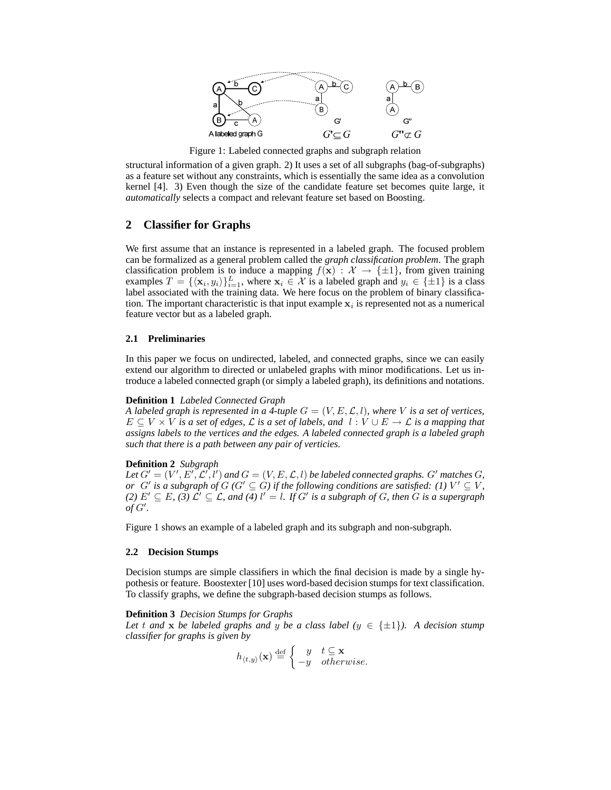

Figure 1: Labeled connected graphs and subgraph relation

structural information of a given graph. 2) It uses a set of all subgraphs (bag-of-subgraphs) as a feature set without any constraints, which is essentially the same idea as a convolution kernel [4]. 3) Even though the size of the candidate feature set becomes quite large, it *automatically* selects a compact and relevant feature set based on Boosting.

## **2 Classifier for Graphs**

We first assume that an instance is represented in a labeled graph. The focused problem can be formalized as a general problem called the *graph classification problem*. The graph classification problem is to induce a mapping  $f(x) : \mathcal{X} \to {\{\pm 1\}}$ , from given training examples  $T = {\{\langle x_i, y_i \rangle\}}_{i=1}^L$ , where  $x_i \in \mathcal{X}$  is a labeled graph and  $y_i \in {\{\pm 1\}}$  is a class label associated with the training data. We here focus on the problem of binary classification. The important characteristic is that input example  $x_i$  is represented not as a numerical feature vector but as a labeled graph.

## **2.1 Preliminaries**

In this paper we focus on undirected, labeled, and connected graphs, since we can easily extend our algorithm to directed or unlabeled graphs with minor modifications. Let us introduce a labeled connected graph (or simply a labeled graph), its definitions and notations.

#### **Definition 1** *Labeled Connected Graph*

*A labeled graph is represented in a 4-tuple*  $G = (V, E, \mathcal{L}, l)$ *, where* V *is a set of vertices*,  $E \subseteq V \times V$  *is a set of edges,*  $\mathcal L$  *is a set of labels, and*  $l : V \cup E \to \mathcal L$  *is a mapping that assigns labels to the vertices and the edges. A labeled connected graph is a labeled graph such that there is a path between any pair of verticies.*

#### **Definition 2** *Subgraph*

Let  $G' = (V', E', \mathcal{L}', l')$  and  $G = (V, E, \mathcal{L}, l)$  be labeled connected graphs.  $G'$  matches  $G$ , *or*  $G'$  is a subgraph of  $G$  ( $G' \subseteq G$ ) if the following conditions are satisfied: (1)  $V' \subseteq V$ , *(2)*  $E' \subseteq E$ , *(3)*  $\mathcal{L}' \subseteq \mathcal{L}$ , and *(4)*  $l' = l$ . If G' is a subgraph of G, then G is a supergraph  $\partial f G'.$ 

Figure 1 shows an example of a labeled graph and its subgraph and non-subgraph.

## **2.2 Decision Stumps**

Decision stumps are simple classifiers in which the final decision is made by a single hypothesis or feature. Boostexter [10] uses word-based decision stumps for text classification. To classify graphs, we define the subgraph-based decision stumps as follows.

## **Definition 3** *Decision Stumps for Graphs*

*Let* t and **x** *be labeled graphs and* y *be a class label* ( $y \in \{\pm 1\}$ ). A decision stump *classifier for graphs is given by*

$$
h_{\langle t,y\rangle}(\mathbf{x}) \stackrel{\text{def}}{=} \begin{cases} y & t \subseteq \mathbf{x} \\ -y & otherwise. \end{cases}
$$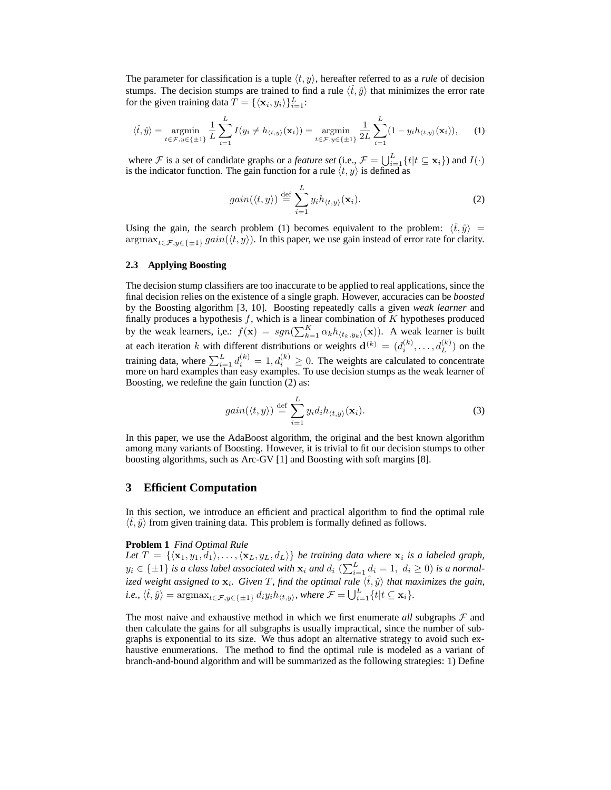The parameter for classification is a tuple  $\langle t, y \rangle$ , hereafter referred to as a *rule* of decision stumps. The decision stumps are trained to find a rule  $\langle \hat{t}, \hat{y} \rangle$  that minimizes the error rate for the given training data  $\overline{T} = {\{\langle \mathbf{x}_i, y_i \rangle\}}_{i=1}^L$ :

$$
\langle \hat{t}, \hat{y} \rangle = \operatorname*{argmin}_{t \in \mathcal{F}, y \in \{\pm 1\}} \frac{1}{L} \sum_{i=1}^{L} I(y_i \neq h_{\langle t, y \rangle}(\mathbf{x}_i)) = \operatorname*{argmin}_{t \in \mathcal{F}, y \in \{\pm 1\}} \frac{1}{2L} \sum_{i=1}^{L} (1 - y_i h_{\langle t, y \rangle}(\mathbf{x}_i)), \quad (1)
$$

where F is a set of candidate graphs or a *feature set* (i.e.,  $\mathcal{F} = \bigcup_{i=1}^{L} \{t | t \subseteq \mathbf{x}_i\}$ ) and  $I(\cdot)$ is the indicator function. The gain function for a rule  $\langle t, y \rangle$  is defined as

$$
gain(\langle t,y\rangle) \stackrel{\text{def}}{=} \sum_{i=1}^{L} y_i h_{\langle t,y\rangle}(\mathbf{x}_i).
$$
 (2)

Using the gain, the search problem (1) becomes equivalent to the problem:  $\langle \hat{t}, \hat{y} \rangle =$  $\argmax_{t \in \mathcal{F}, y \in \{\pm 1\}} gain(\langle t, y \rangle)$ . In this paper, we use gain instead of error rate for clarity.

#### **2.3 Applying Boosting**

The decision stump classifiers are too inaccurate to be applied to real applications, since the final decision relies on the existence of a single graph. However, accuracies can be *boosted* by the Boosting algorithm [3, 10]. Boosting repeatedly calls a given *weak learner* and finally produces a hypothesis  $f$ , which is a linear combination of  $K$  hypotheses produced by the weak learners, i,e.:  $f(\mathbf{x}) = sgn(\sum_{k=1}^{K} \alpha_k h_{\langle t_k, y_k \rangle}(\mathbf{x}))$ . A weak learner is built at each iteration k with different distributions or weights  $\mathbf{d}^{(k)} = (d_i^{(k)}, \dots, d_L^{(k)})$  on the training data, where  $\sum_{i=1}^{L} d_i^{(k)} = 1, d_i^{(k)} \ge 0$ . The weights are calculated to concentrate more on hard examples than easy examples. To use decision stumps as the weak learner of Boosting, we redefine the gain function (2) as:

$$
gain(\langle t,y\rangle) \stackrel{\text{def}}{=} \sum_{i=1}^{L} y_i d_i h_{\langle t,y\rangle}(\mathbf{x}_i).
$$
 (3)

In this paper, we use the AdaBoost algorithm, the original and the best known algorithm among many variants of Boosting. However, it is trivial to fit our decision stumps to other boosting algorithms, such as Arc-GV [1] and Boosting with soft margins [8].

## **3 Efficient Computation**

In this section, we introduce an efficient and practical algorithm to find the optimal rule  $\langle \hat{t}, \hat{y} \rangle$  from given training data. This problem is formally defined as follows.

#### **Problem 1** *Find Optimal Rule*

Let  $T = \{\langle x_1, y_1, d_1 \rangle, \ldots, \langle x_L, y_L, d_L \rangle\}$  *be training data where*  $x_i$  *is a labeled graph,*  $y_i \in \{\pm 1\}$  is a class label associated with  $\mathbf{x}_i$  and  $d_i$   $(\sum_{i=1}^L d_i = 1, d_i \ge 0)$  is a normalized weight assigned to  $\mathbf{x}_i$ . Given T, find the optimal rule  $\langle \hat{t},\hat{y}\rangle$  that maximizes the gain,  $i.e., \langle \hat{t}, \hat{y} \rangle = \operatorname{argmax}_{t \in \mathcal{F}, y \in \{\pm 1\}} d_i y_i h_{\langle t, y \rangle},$  where  $\mathcal{F} = \bigcup_{i=1}^L \{t | t \subseteq \mathbf{x}_i\}.$ 

The most naive and exhaustive method in which we first enumerate *all* subgraphs  $\mathcal F$  and then calculate the gains for all subgraphs is usually impractical, since the number of subgraphs is exponential to its size. We thus adopt an alternative strategy to avoid such exhaustive enumerations. The method to find the optimal rule is modeled as a variant of branch-and-bound algorithm and will be summarized as the following strategies: 1) Define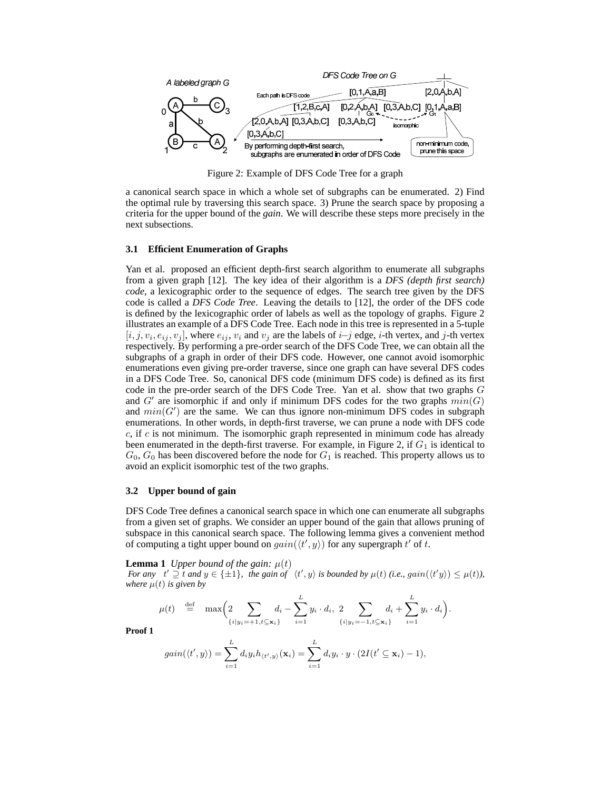

Figure 2: Example of DFS Code Tree for a graph

a canonical search space in which a whole set of subgraphs can be enumerated. 2) Find the optimal rule by traversing this search space. 3) Prune the search space by proposing a criteria for the upper bound of the *gain*. We will describe these steps more precisely in the next subsections.

## **3.1 Efficient Enumeration of Graphs**

Yan et al. proposed an efficient depth-first search algorithm to enumerate all subgraphs from a given graph [12]. The key idea of their algorithm is a *DFS (depth first search) code*, a lexicographic order to the sequence of edges. The search tree given by the DFS code is called a *DFS Code Tree*. Leaving the details to [12], the order of the DFS code is defined by the lexicographic order of labels as well as the topology of graphs. Figure 2 illustrates an example of a DFS Code Tree. Each node in this tree is represented in a 5-tuple  $[i, j, v_i, e_{ij}, v_j]$ , where  $e_{ij}, v_i$  and  $v_j$  are the labels of  $i-j$  edge,  $i$ -th vertex, and  $j$ -th vertex respectively. By performing a pre-order search of the DFS Code Tree, we can obtain all the subgraphs of a graph in order of their DFS code. However, one cannot avoid isomorphic enumerations even giving pre-order traverse, since one graph can have several DFS codes in a DFS Code Tree. So, canonical DFS code (minimum DFS code) is defined as its first code in the pre-order search of the DFS Code Tree. Yan et al. show that two graphs G and  $G'$  are isomorphic if and only if minimum DFS codes for the two graphs  $min(G)$ and  $min(G')$  are the same. We can thus ignore non-minimum DFS codes in subgraph enumerations. In other words, in depth-first traverse, we can prune a node with DFS code  $c$ , if  $c$  is not minimum. The isomorphic graph represented in minimum code has already been enumerated in the depth-first traverse. For example, in Figure 2, if  $G_1$  is identical to  $G_0, G_0$  has been discovered before the node for  $G_1$  is reached. This property allows us to avoid an explicit isomorphic test of the two graphs.

## **3.2 Upper bound of gain**

DFS Code Tree defines a canonical search space in which one can enumerate all subgraphs from a given set of graphs. We consider an upper bound of the gain that allows pruning of subspace in this canonical search space. The following lemma gives a convenient method of computing a tight upper bound on  $gain(\langle t', y \rangle)$  for any supergraph  $t'$  of  $t$ .

**Lemma 1** *Upper bound of the gain:*  $\mu(t)$ *For any*  $t' \supseteq t$  *and*  $y \in \{\pm 1\}$ , the gain of  $\langle t', y \rangle$  is bounded by  $\mu(t)$  (i.e.,  $gain(\langle t'y \rangle) \leq \mu(t)$ ), *where*  $\mu(t)$  *is given by* 

$$
\mu(t) \stackrel{\text{def}}{=} \max \Big( \sum_{\{i|y_i = +1, t \subseteq \mathbf{x}_i\}} d_i - \sum_{i=1}^L y_i \cdot d_i, \ 2 \sum_{\{i|y_i = -1, t \subseteq \mathbf{x}_i\}} d_i + \sum_{i=1}^L y_i \cdot d_i \Big).
$$

**Proof 1**

$$
gain(\langle t',y\rangle)=\sum_{i=1}^L d_i y_i h_{\langle t',y\rangle}(\mathbf{x}_i)=\sum_{i=1}^L d_i y_i \cdot y \cdot (2I(t' \subseteq \mathbf{x}_i)-1),
$$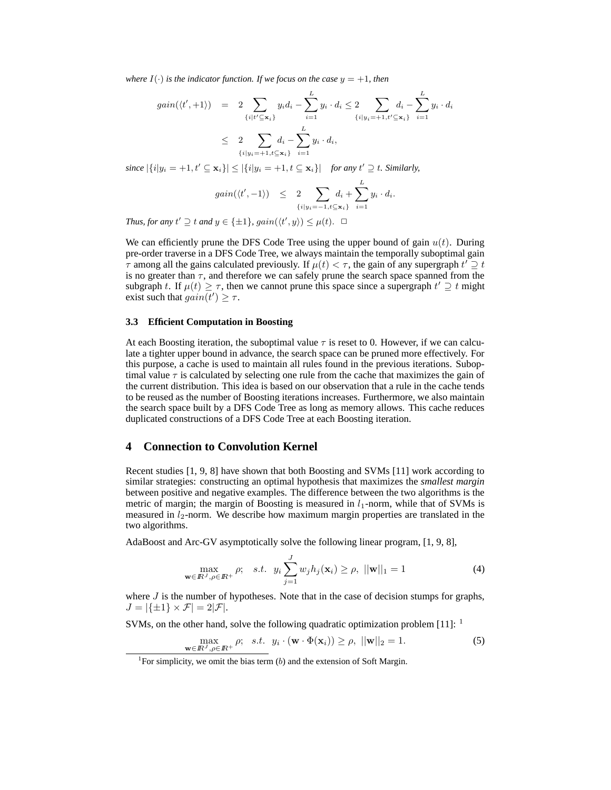*where*  $I(\cdot)$  *is the indicator function. If we focus on the case*  $y = +1$ *, then* 

$$
gain(\langle t', +1 \rangle) = 2 \sum_{\{i | t' \subseteq \mathbf{x}_i\}} y_i d_i - \sum_{i=1}^L y_i \cdot d_i \le 2 \sum_{\{i | y_i = +1, t' \subseteq \mathbf{x}_i\}} d_i - \sum_{i=1}^L y_i \cdot d_i
$$
  
 
$$
\le 2 \sum_{\{i | y_i = +1, t \subseteq \mathbf{x}_i\}} d_i - \sum_{i=1}^L y_i \cdot d_i,
$$

 $\text{since } |\{i|y_i = +1, t' \subseteq \mathbf{x}_i\}| \leq |\{i|y_i = +1, t \subseteq \mathbf{x}_i\}|$  *for any*  $t' \supseteq t$ *. Similarly,* 

$$
gain(\langle t', -1 \rangle) \leq 2 \sum_{\{i|y_i=-1, t \subseteq \mathbf{x}_i\}} d_i + \sum_{i=1}^L y_i \cdot d_i.
$$

*Thus, for any*  $t' \supseteq t$  *and*  $y \in \{\pm 1\}$ *, gain* $(\langle t', y \rangle) \leq \mu(t)$ .  $\Box$ 

We can efficiently prune the DFS Code Tree using the upper bound of gain  $u(t)$ . During pre-order traverse in a DFS Code Tree, we always maintain the temporally suboptimal gain  $\tau$  among all the gains calculated previously. If  $\mu(t) < \tau$ , the gain of any supergraph  $t' \supseteq t$ is no greater than  $\tau$ , and therefore we can safely prune the search space spanned from the subgraph t. If  $\mu(t) \geq \tau$ , then we cannot prune this space since a supergraph  $t' \supseteq t$  might exist such that  $gain(t') \geq \tau$ .

### **3.3 Efficient Computation in Boosting**

At each Boosting iteration, the suboptimal value  $\tau$  is reset to 0. However, if we can calculate a tighter upper bound in advance, the search space can be pruned more effectively. For this purpose, a cache is used to maintain all rules found in the previous iterations. Suboptimal value  $\tau$  is calculated by selecting one rule from the cache that maximizes the gain of the current distribution. This idea is based on our observation that a rule in the cache tends to be reused as the number of Boosting iterations increases. Furthermore, we also maintain the search space built by a DFS Code Tree as long as memory allows. This cache reduces duplicated constructions of a DFS Code Tree at each Boosting iteration.

# **4 Connection to Convolution Kernel**

Recent studies [1, 9, 8] have shown that both Boosting and SVMs [11] work according to similar strategies: constructing an optimal hypothesis that maximizes the *smallest margin* between positive and negative examples. The difference between the two algorithms is the metric of margin; the margin of Boosting is measured in  $l_1$ -norm, while that of SVMs is measured in  $l_2$ -norm. We describe how maximum margin properties are translated in the two algorithms.

AdaBoost and Arc-GV asymptotically solve the following linear program, [1, 9, 8],

$$
\max_{\mathbf{w}\in\mathbb{R}^J,\rho\in\mathbb{R}^+}\rho;\quad s.t.\quad y_i\sum_{j=1}^J w_jh_j(\mathbf{x}_i)\geq\rho,\ \|\mathbf{w}\|_1=1\tag{4}
$$

where  $J$  is the number of hypotheses. Note that in the case of decision stumps for graphs,  $J = |\{\pm 1\} \times \mathcal{F}| = 2|\mathcal{F}|.$ 

SVMs, on the other hand, solve the following quadratic optimization problem [11]: <sup>1</sup>

$$
\max_{\mathbf{w}\in\mathbb{R}^J,\rho\in\mathbb{R}^+}\rho;\ \ s.t. \ y_i\cdot(\mathbf{w}\cdot\Phi(\mathbf{x}_i))\geq\rho,\ ||\mathbf{w}||_2=1.
$$
\n(5)

<sup>&</sup>lt;sup>1</sup>For simplicity, we omit the bias term  $(b)$  and the extension of Soft Margin.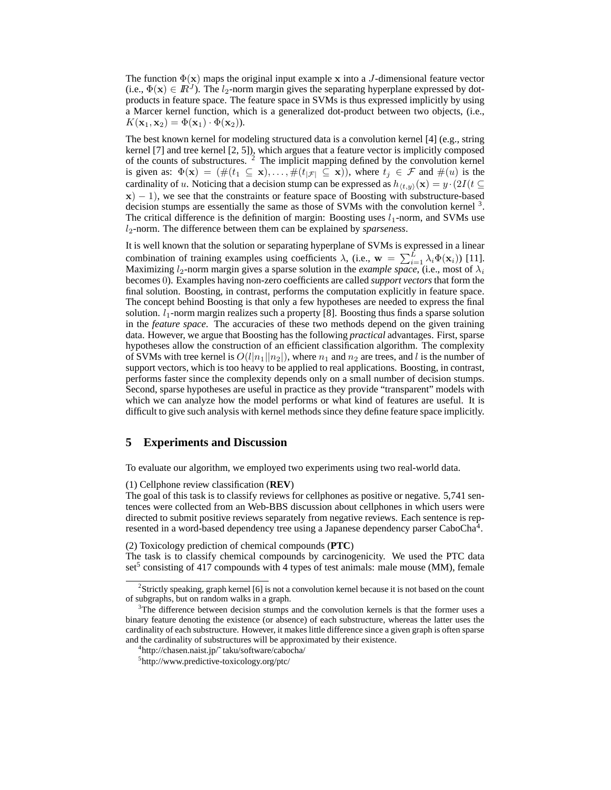The function  $\Phi(\mathbf{x})$  maps the original input example x into a J-dimensional feature vector (i.e.,  $\Phi(\mathbf{x}) \in \mathbb{R}^3$ ). The  $l_2$ -norm margin gives the separating hyperplane expressed by dotproducts in feature space. The feature space in SVMs is thus expressed implicitly by using a Marcer kernel function, which is a generalized dot-product between two objects, (i.e.,  $K(\mathbf{x}_1, \mathbf{x}_2) = \Phi(\mathbf{x}_1) \cdot \Phi(\mathbf{x}_2)$ .

The best known kernel for modeling structured data is a convolution kernel [4] (e.g., string kernel [7] and tree kernel [2, 5]), which argues that a feature vector is implicitly composed of the counts of substructures.  $2$  The implicit mapping defined by the convolution kernel is given as:  $\Phi(\mathbf{x}) = (\#(t_1 \subseteq \mathbf{x}), \dots, \#(t_{|\mathcal{F}|} \subseteq \mathbf{x}))$ , where  $t_j \in \mathcal{F}$  and  $\#(u)$  is the cardinality of u. Noticing that a decision stump can be expressed as  $h_{(t,y)}(\mathbf{x}) = y \cdot (2I(t \subseteq$  $x$ ) − 1), we see that the constraints or feature space of Boosting with substructure-based decision stumps are essentially the same as those of SVMs with the convolution kernel  $3$ . The critical difference is the definition of margin: Boosting uses  $l_1$ -norm, and SVMs use l2-norm. The difference between them can be explained by *sparseness*.

It is well known that the solution or separating hyperplane of SVMs is expressed in a linear combination of training examples using coefficients  $\lambda$ , (i.e.,  $\mathbf{w} = \sum_{i=1}^{L} \lambda_i \Phi(\mathbf{x}_i)$ ) [11]. Maximizing  $l_2$ -norm margin gives a sparse solution in the *example space*, (i.e., most of  $\lambda_i$ becomes 0). Examples having non-zero coefficients are called *support vectors* that form the final solution. Boosting, in contrast, performs the computation explicitly in feature space. The concept behind Boosting is that only a few hypotheses are needed to express the final solution.  $l_1$ -norm margin realizes such a property [8]. Boosting thus finds a sparse solution in the *feature space*. The accuracies of these two methods depend on the given training data. However, we argue that Boosting has the following *practical* advantages. First, sparse hypotheses allow the construction of an efficient classification algorithm. The complexity of SVMs with tree kernel is  $O(l|n_1||n_2|)$ , where  $n_1$  and  $n_2$  are trees, and l is the number of support vectors, which is too heavy to be applied to real applications. Boosting, in contrast, performs faster since the complexity depends only on a small number of decision stumps. Second, sparse hypotheses are useful in practice as they provide "transparent" models with which we can analyze how the model performs or what kind of features are useful. It is difficult to give such analysis with kernel methods since they define feature space implicitly.

## **5 Experiments and Discussion**

To evaluate our algorithm, we employed two experiments using two real-world data.

(1) Cellphone review classification (**REV**)

The goal of this task is to classify reviews for cellphones as positive or negative. 5,741 sentences were collected from an Web-BBS discussion about cellphones in which users were directed to submit positive reviews separately from negative reviews. Each sentence is represented in a word-based dependency tree using a Japanese dependency parser CaboCha<sup>4</sup>.

(2) Toxicology prediction of chemical compounds (**PTC**)

The task is to classify chemical compounds by carcinogenicity. We used the PTC data set<sup>5</sup> consisting of 417 compounds with 4 types of test animals: male mouse (MM), female

<sup>&</sup>lt;sup>2</sup>Strictly speaking, graph kernel [6] is not a convolution kernel because it is not based on the count of subgraphs, but on random walks in a graph.

 $3$ The difference between decision stumps and the convolution kernels is that the former uses a binary feature denoting the existence (or absence) of each substructure, whereas the latter uses the cardinality of each substructure. However, it makes little difference since a given graph is often sparse and the cardinality of substructures will be approximated by their existence.

<sup>4</sup> http://chasen.naist.jp/˜ taku/software/cabocha/

<sup>5</sup> http://www.predictive-toxicology.org/ptc/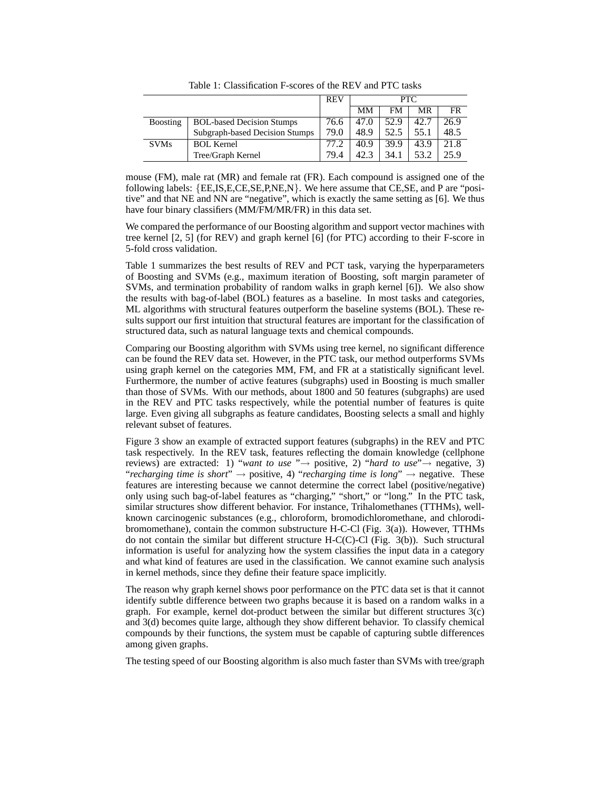|                 |                                  | <b>REV</b> | PTC. |      |      |      |
|-----------------|----------------------------------|------------|------|------|------|------|
|                 |                                  |            | MМ   | FM   | MR   | FR   |
| <b>Boosting</b> | <b>BOL-based Decision Stumps</b> | 76.6       | 47.0 | 52.9 | 42.7 | 26.9 |
|                 | Subgraph-based Decision Stumps   | 79.0       | 48.9 | 52.5 | 55.1 | 48.5 |
| <b>SVMs</b>     | <b>BOL Kernel</b>                | 77.2       | 40.9 | 39.9 | 43.9 | 21.8 |
|                 | Tree/Graph Kernel                | 79.4       | 42.3 | 34.1 | 53.2 | 25.9 |

Table 1: Classification F-scores of the REV and PTC tasks

mouse (FM), male rat (MR) and female rat (FR). Each compound is assigned one of the following labels:  ${E. IS, E, CE, SE, P, NE, N}$ . We here assume that CE, SE, and P are "positive" and that NE and NN are "negative", which is exactly the same setting as [6]. We thus have four binary classifiers (MM/FM/MR/FR) in this data set.

We compared the performance of our Boosting algorithm and support vector machines with tree kernel [2, 5] (for REV) and graph kernel [6] (for PTC) according to their F-score in 5-fold cross validation.

Table 1 summarizes the best results of REV and PCT task, varying the hyperparameters of Boosting and SVMs (e.g., maximum iteration of Boosting, soft margin parameter of SVMs, and termination probability of random walks in graph kernel [6]). We also show the results with bag-of-label (BOL) features as a baseline. In most tasks and categories, ML algorithms with structural features outperform the baseline systems (BOL). These results support our first intuition that structural features are important for the classification of structured data, such as natural language texts and chemical compounds.

Comparing our Boosting algorithm with SVMs using tree kernel, no significant difference can be found the REV data set. However, in the PTC task, our method outperforms SVMs using graph kernel on the categories MM, FM, and FR at a statistically significant level. Furthermore, the number of active features (subgraphs) used in Boosting is much smaller than those of SVMs. With our methods, about 1800 and 50 features (subgraphs) are used in the REV and PTC tasks respectively, while the potential number of features is quite large. Even giving all subgraphs as feature candidates, Boosting selects a small and highly relevant subset of features.

Figure 3 show an example of extracted support features (subgraphs) in the REV and PTC task respectively. In the REV task, features reflecting the domain knowledge (cellphone reviews) are extracted: 1) "*want to use* "→ positive, 2) "*hard to use*"→ negative, 3) "*recharging time is short*"  $\rightarrow$  positive, 4) "*recharging time is long*"  $\rightarrow$  negative. These features are interesting because we cannot determine the correct label (positive/negative) only using such bag-of-label features as "charging," "short," or "long." In the PTC task, similar structures show different behavior. For instance, Trihalomethanes (TTHMs), wellknown carcinogenic substances (e.g., chloroform, bromodichloromethane, and chlorodibromomethane), contain the common substructure H-C-Cl (Fig. 3(a)). However, TTHMs do not contain the similar but different structure H-C(C)-Cl (Fig. 3(b)). Such structural information is useful for analyzing how the system classifies the input data in a category and what kind of features are used in the classification. We cannot examine such analysis in kernel methods, since they define their feature space implicitly.

The reason why graph kernel shows poor performance on the PTC data set is that it cannot identify subtle difference between two graphs because it is based on a random walks in a graph. For example, kernel dot-product between the similar but different structures 3(c) and 3(d) becomes quite large, although they show different behavior. To classify chemical compounds by their functions, the system must be capable of capturing subtle differences among given graphs.

The testing speed of our Boosting algorithm is also much faster than SVMs with tree/graph